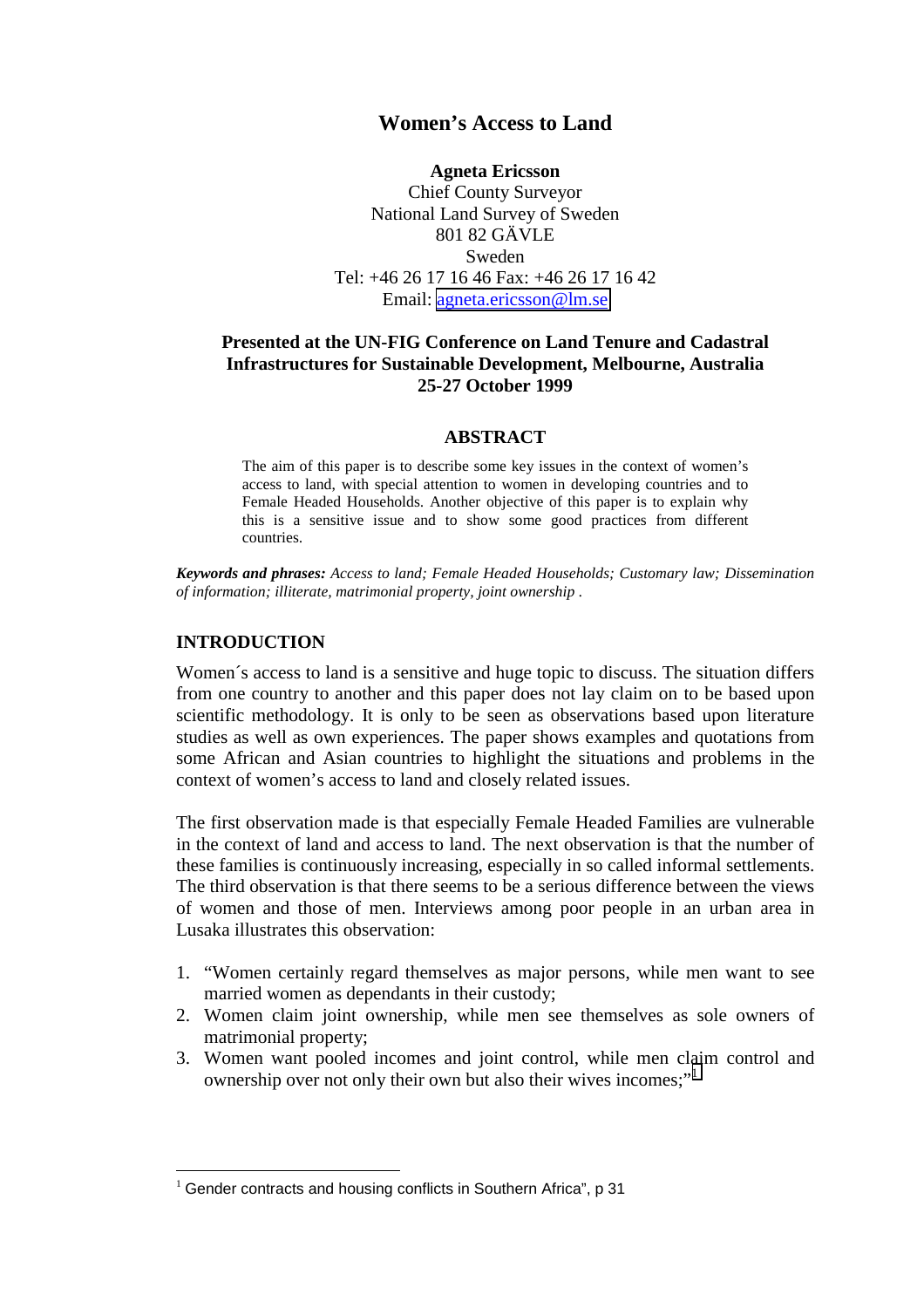# **Women's Access to Land**

#### **Agneta Ericsson**

Chief County Surveyor National Land Survey of Sweden 801 82 GÄVLE Sweden Tel: +46 26 17 16 46 Fax: +46 26 17 16 42 Email: [agneta.ericsson@lm.se](mailto:agneta.Ericsson@lm.se)

### **Presented at the UN-FIG Conference on Land Tenure and Cadastral Infrastructures for Sustainable Development, Melbourne, Australia 25-27 October 1999**

#### **ABSTRACT**

The aim of this paper is to describe some key issues in the context of women's access to land, with special attention to women in developing countries and to Female Headed Households. Another objective of this paper is to explain why this is a sensitive issue and to show some good practices from different countries.

*Keywords and phrases: Access to land; Female Headed Households; Customary law; Dissemination of information; illiterate, matrimonial property, joint ownership .*

#### **INTRODUCTION**

 $\overline{a}$ 

Women´s access to land is a sensitive and huge topic to discuss. The situation differs from one country to another and this paper does not lay claim on to be based upon scientific methodology. It is only to be seen as observations based upon literature studies as well as own experiences. The paper shows examples and quotations from some African and Asian countries to highlight the situations and problems in the context of women's access to land and closely related issues.

The first observation made is that especially Female Headed Families are vulnerable in the context of land and access to land. The next observation is that the number of these families is continuously increasing, especially in so called informal settlements. The third observation is that there seems to be a serious difference between the views of women and those of men. Interviews among poor people in an urban area in Lusaka illustrates this observation:

- 1. "Women certainly regard themselves as major persons, while men want to see married women as dependants in their custody;
- 2. Women claim joint ownership, while men see themselves as sole owners of matrimonial property;
- 3. Women want pooled incomes and joint control, while men claim control and ownership over not only their own but also their wives incomes:"

 $1$  Gender contracts and housing conflicts in Southern Africa", p 31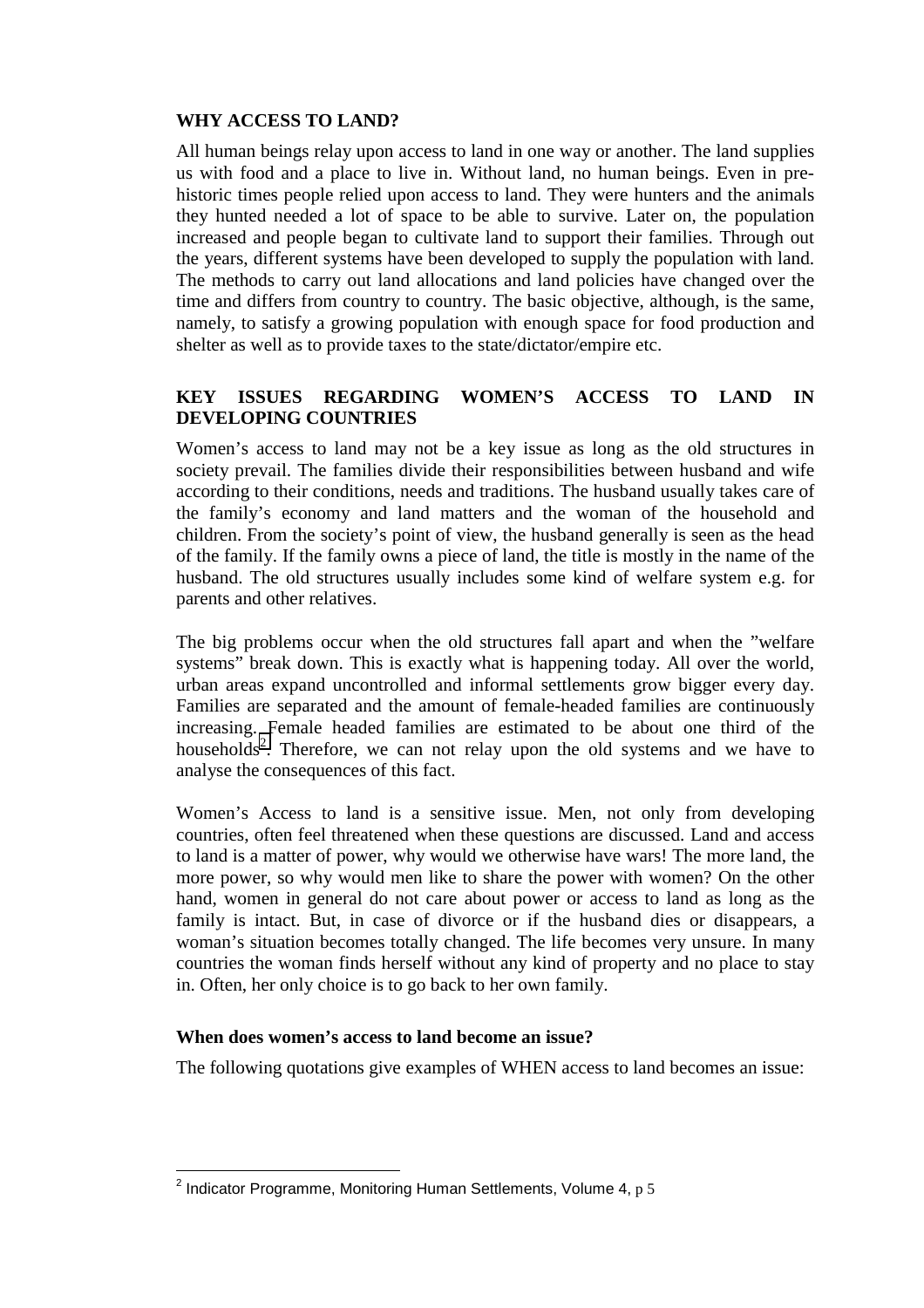### **WHY ACCESS TO LAND?**

All human beings relay upon access to land in one way or another. The land supplies us with food and a place to live in. Without land, no human beings. Even in prehistoric times people relied upon access to land. They were hunters and the animals they hunted needed a lot of space to be able to survive. Later on, the population increased and people began to cultivate land to support their families. Through out the years, different systems have been developed to supply the population with land. The methods to carry out land allocations and land policies have changed over the time and differs from country to country. The basic objective, although, is the same, namely, to satisfy a growing population with enough space for food production and shelter as well as to provide taxes to the state/dictator/empire etc.

## **KEY ISSUES REGARDING WOMEN'S ACCESS TO LAND IN DEVELOPING COUNTRIES**

Women's access to land may not be a key issue as long as the old structures in society prevail. The families divide their responsibilities between husband and wife according to their conditions, needs and traditions. The husband usually takes care of the family's economy and land matters and the woman of the household and children. From the society's point of view, the husband generally is seen as the head of the family. If the family owns a piece of land, the title is mostly in the name of the husband. The old structures usually includes some kind of welfare system e.g. for parents and other relatives.

The big problems occur when the old structures fall apart and when the "welfare systems" break down. This is exactly what is happening today. All over the world, urban areas expand uncontrolled and informal settlements grow bigger every day. Families are separated and the amount of female-headed families are continuously increasing. Female headed families are estimated to be about one third of the households<sup>2</sup>. Therefore, we can not relay upon the old systems and we have to analyse the consequences of this fact.

Women's Access to land is a sensitive issue. Men, not only from developing countries, often feel threatened when these questions are discussed. Land and access to land is a matter of power, why would we otherwise have wars! The more land, the more power, so why would men like to share the power with women? On the other hand, women in general do not care about power or access to land as long as the family is intact. But, in case of divorce or if the husband dies or disappears, a woman's situation becomes totally changed. The life becomes very unsure. In many countries the woman finds herself without any kind of property and no place to stay in. Often, her only choice is to go back to her own family.

### **When does women's access to land become an issue?**

The following quotations give examples of WHEN access to land becomes an issue:

 2 Indicator Programme, Monitoring Human Settlements, Volume 4, p 5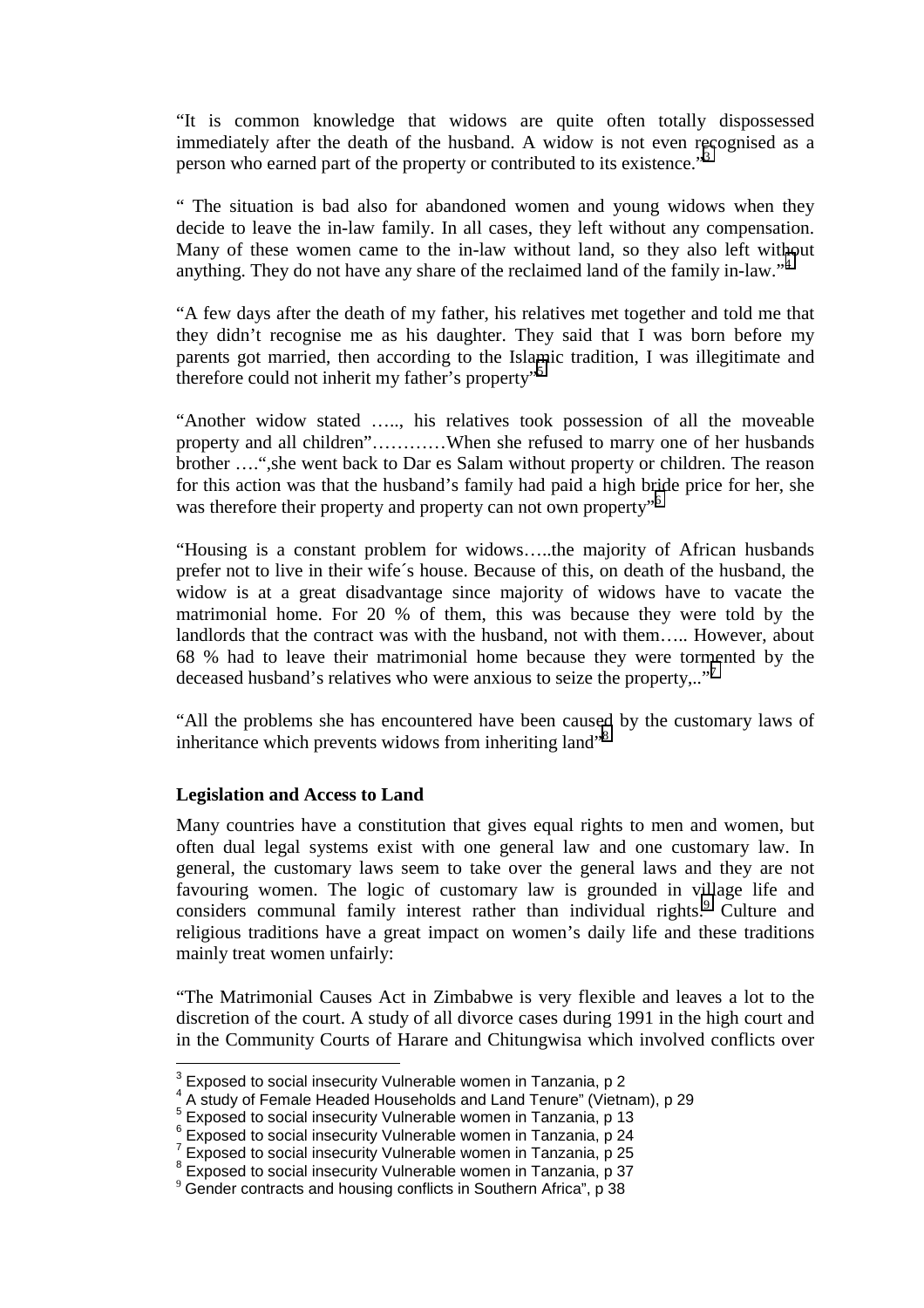"It is common knowledge that widows are quite often totally dispossessed immediately after the death of the husband. A widow is not even recognised as a person who earned part of the property or contributed to its existence."<sup>3</sup>

" The situation is bad also for abandoned women and young widows when they decide to leave the in-law family. In all cases, they left without any compensation. Many of these women came to the in-law without land, so they also left without anything. They do not have any share of the reclaimed land of the family in-law."<sup>4</sup>

"A few days after the death of my father, his relatives met together and told me that they didn't recognise me as his daughter. They said that I was born before my parents got married, then according to the Islamic tradition, I was illegitimate and therefore could not inherit my father's property<sup>"5</sup>

"Another widow stated ….., his relatives took possession of all the moveable property and all children"…………When she refused to marry one of her husbands brother ….",she went back to Dar es Salam without property or children. The reason for this action was that the husband's family had paid a high bride price for her, she was therefore their property and property can not own property<sup>"6</sup>

"Housing is a constant problem for widows…..the majority of African husbands prefer not to live in their wife´s house. Because of this, on death of the husband, the widow is at a great disadvantage since majority of widows have to vacate the matrimonial home. For 20 % of them, this was because they were told by the landlords that the contract was with the husband, not with them….. However, about 68 % had to leave their matrimonial home because they were tormented by the deceased husband's relatives who were anxious to seize the property..."<sup>7</sup>

"All the problems she has encountered have been caused by the customary laws of inheritance which prevents widows from inheriting land<sup>38</sup>

#### **Legislation and Access to Land**

Many countries have a constitution that gives equal rights to men and women, but often dual legal systems exist with one general law and one customary law. In general, the customary laws seem to take over the general laws and they are not favouring women. The logic of customary law is grounded in village life and considers communal family interest rather than individual rights.<sup>9</sup> Culture and religious traditions have a great impact on women's daily life and these traditions mainly treat women unfairly:

"The Matrimonial Causes Act in Zimbabwe is very flexible and leaves a lot to the discretion of the court. A study of all divorce cases during 1991 in the high court and in the Community Courts of Harare and Chitungwisa which involved conflicts over

 3 Exposed to social insecurity Vulnerable women in Tanzania, p 2

<sup>&</sup>lt;sup>4</sup> A study of Female Headed Households and Land Tenure" (Vietnam), p 29<br><sup>5</sup> Exposed to social insecurity Vulnerable women in Tanzania, p 13<br><sup>6</sup> Exposed to social insecurity Vulnerable women in Tanzania, p 24

 $7$  Exposed to social insecurity Vulnerable women in Tanzania, p 25

<sup>&</sup>lt;sup>8</sup> Exposed to social insecurity Vulnerable women in Tanzania, p 37

 $9$  Gender contracts and housing conflicts in Southern Africa", p 38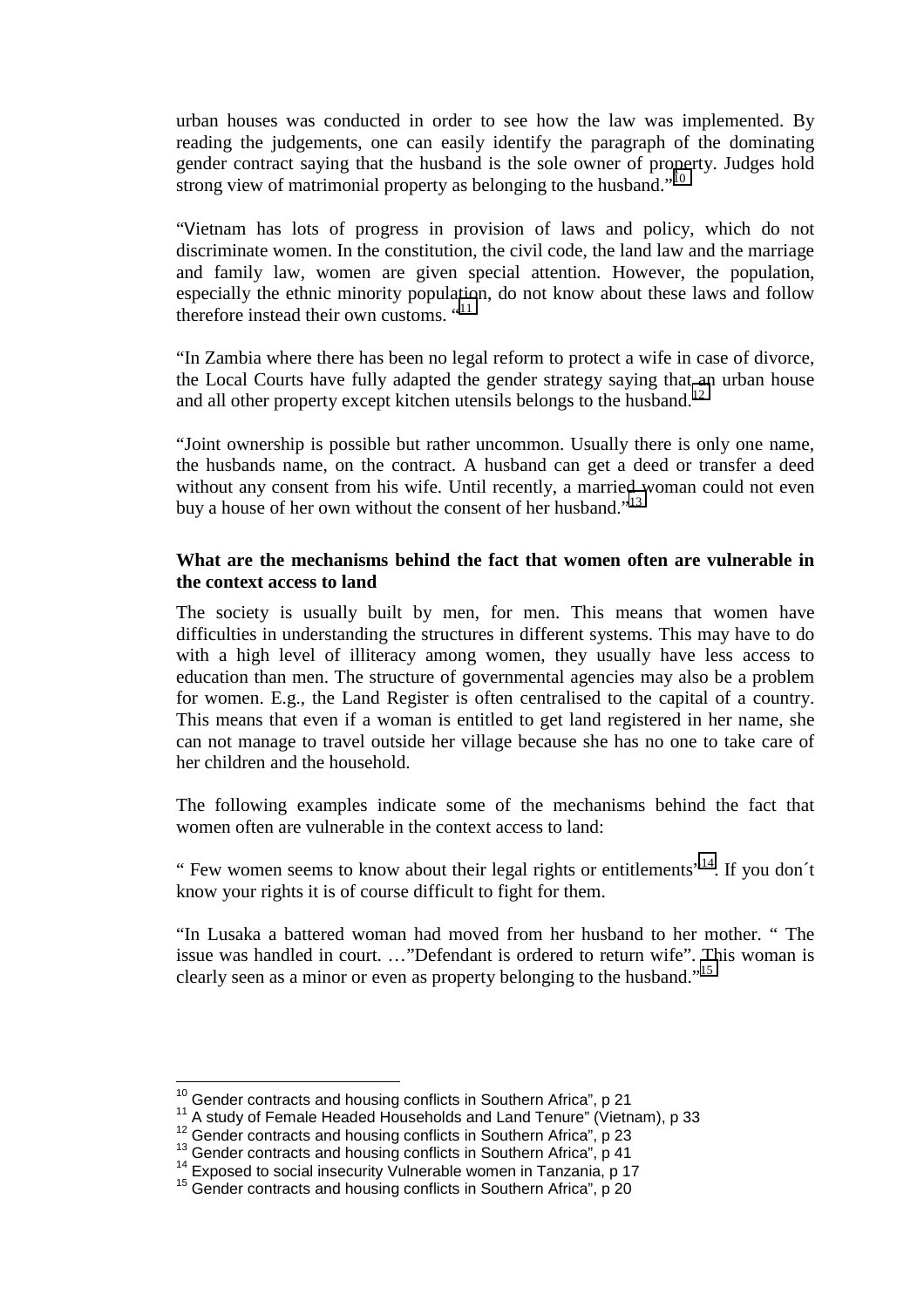urban houses was conducted in order to see how the law was implemented. By reading the judgements, one can easily identify the paragraph of the dominating gender contract saying that the husband is the sole owner of property. Judges hold strong view of matrimonial property as belonging to the husband."<sup>10</sup>

"Vietnam has lots of progress in provision of laws and policy, which do not discriminate women. In the constitution, the civil code, the land law and the marriage and family law, women are given special attention. However, the population, especially the ethnic minority population, do not know about these laws and follow therefore instead their own customs. "<sup>11</sup>

"In Zambia where there has been no legal reform to protect a wife in case of divorce, the Local Courts have fully adapted the gender strategy saying that an urban house and all other property except kitchen utensils belongs to the husband.<sup>12</sup>

"Joint ownership is possible but rather uncommon. Usually there is only one name, the husbands name, on the contract. A husband can get a deed or transfer a deed without any consent from his wife. Until recently, a married woman could not even buy a house of her own without the consent of her husband."<sup>13</sup>

### **What are the mechanisms behind the fact that women often are vulnerable in the context access to land**

The society is usually built by men, for men. This means that women have difficulties in understanding the structures in different systems. This may have to do with a high level of illiteracy among women, they usually have less access to education than men. The structure of governmental agencies may also be a problem for women. E.g., the Land Register is often centralised to the capital of a country. This means that even if a woman is entitled to get land registered in her name, she can not manage to travel outside her village because she has no one to take care of her children and the household.

The following examples indicate some of the mechanisms behind the fact that women often are vulnerable in the context access to land:

" Few women seems to know about their legal rights or entitlements"<sup>14</sup>. If you don't know your rights it is of course difficult to fight for them.

"In Lusaka a battered woman had moved from her husband to her mother. " The issue was handled in court. …"Defendant is ordered to return wife". This woman is clearly seen as a minor or even as property belonging to the husband."<sup>15</sup>

<sup>&</sup>lt;sup>10</sup> Gender contracts and housing conflicts in Southern Africa", p 21

<sup>&</sup>lt;sup>11</sup> A study of Female Headed Households and Land Tenure" (Vietnam), p 33<br><sup>12</sup> Gender contracts and housing conflicts in Southern Africa", p 23<br><sup>13</sup> Gender contracts and housing conflicts in Southern Africa", p 41<br><sup>14</sup> Exp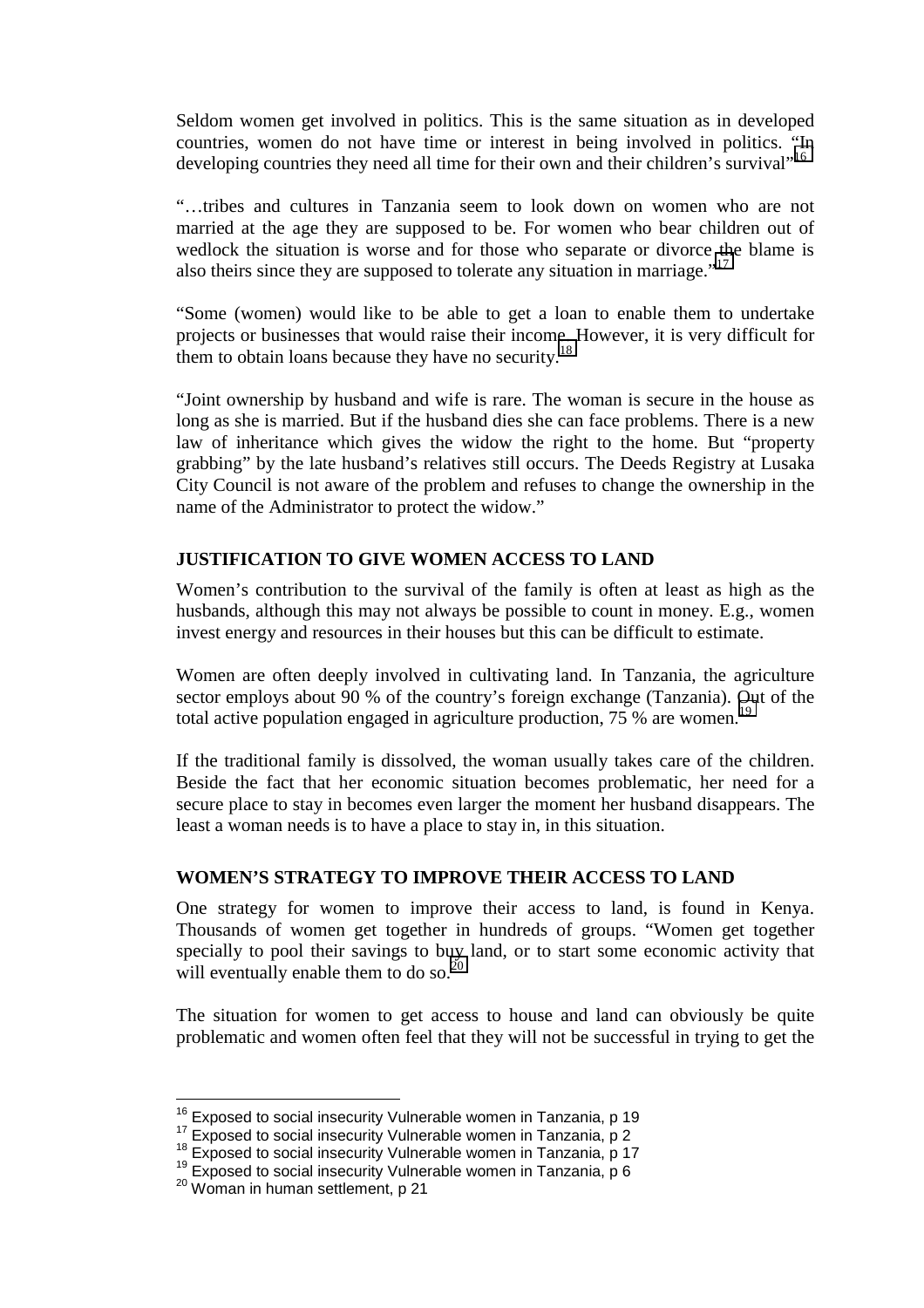Seldom women get involved in politics. This is the same situation as in developed countries, women do not have time or interest in being involved in politics. "In developing countries they need all time for their own and their children's survival<sup>1,16</sup>

"…tribes and cultures in Tanzania seem to look down on women who are not married at the age they are supposed to be. For women who bear children out of wedlock the situation is worse and for those who separate or divorce the blame is also theirs since they are supposed to tolerate any situation in marriage."<sup>17</sup>

"Some (women) would like to be able to get a loan to enable them to undertake projects or businesses that would raise their income. However, it is very difficult for them to obtain loans because they have no security.<sup>18</sup>

"Joint ownership by husband and wife is rare. The woman is secure in the house as long as she is married. But if the husband dies she can face problems. There is a new law of inheritance which gives the widow the right to the home. But "property grabbing" by the late husband's relatives still occurs. The Deeds Registry at Lusaka City Council is not aware of the problem and refuses to change the ownership in the name of the Administrator to protect the widow."

### **JUSTIFICATION TO GIVE WOMEN ACCESS TO LAND**

Women's contribution to the survival of the family is often at least as high as the husbands, although this may not always be possible to count in money. E.g., women invest energy and resources in their houses but this can be difficult to estimate.

Women are often deeply involved in cultivating land. In Tanzania, the agriculture sector employs about 90 % of the country's foreign exchange (Tanzania). Out of the total active population engaged in agriculture production,  $75\%$  are women.<sup>19</sup>

If the traditional family is dissolved, the woman usually takes care of the children. Beside the fact that her economic situation becomes problematic, her need for a secure place to stay in becomes even larger the moment her husband disappears. The least a woman needs is to have a place to stay in, in this situation.

#### **WOMEN'S STRATEGY TO IMPROVE THEIR ACCESS TO LAND**

One strategy for women to improve their access to land, is found in Kenya. Thousands of women get together in hundreds of groups. "Women get together specially to pool their savings to buy land, or to start some economic activity that will eventually enable them to do so.<sup>20</sup>

The situation for women to get access to house and land can obviously be quite problematic and women often feel that they will not be successful in trying to get the

<sup>&</sup>lt;sup>16</sup> Exposed to social insecurity Vulnerable women in Tanzania, p 19

<sup>&</sup>lt;sup>17</sup> Exposed to social insecurity Vulnerable women in Tanzania, p 2<br><sup>18</sup> Exposed to social insecurity Vulnerable women in Tanzania, p 17<br><sup>19</sup> Exposed to social insecurity Vulnerable women in Tanzania, p 6<br><sup>20</sup> Woman in hu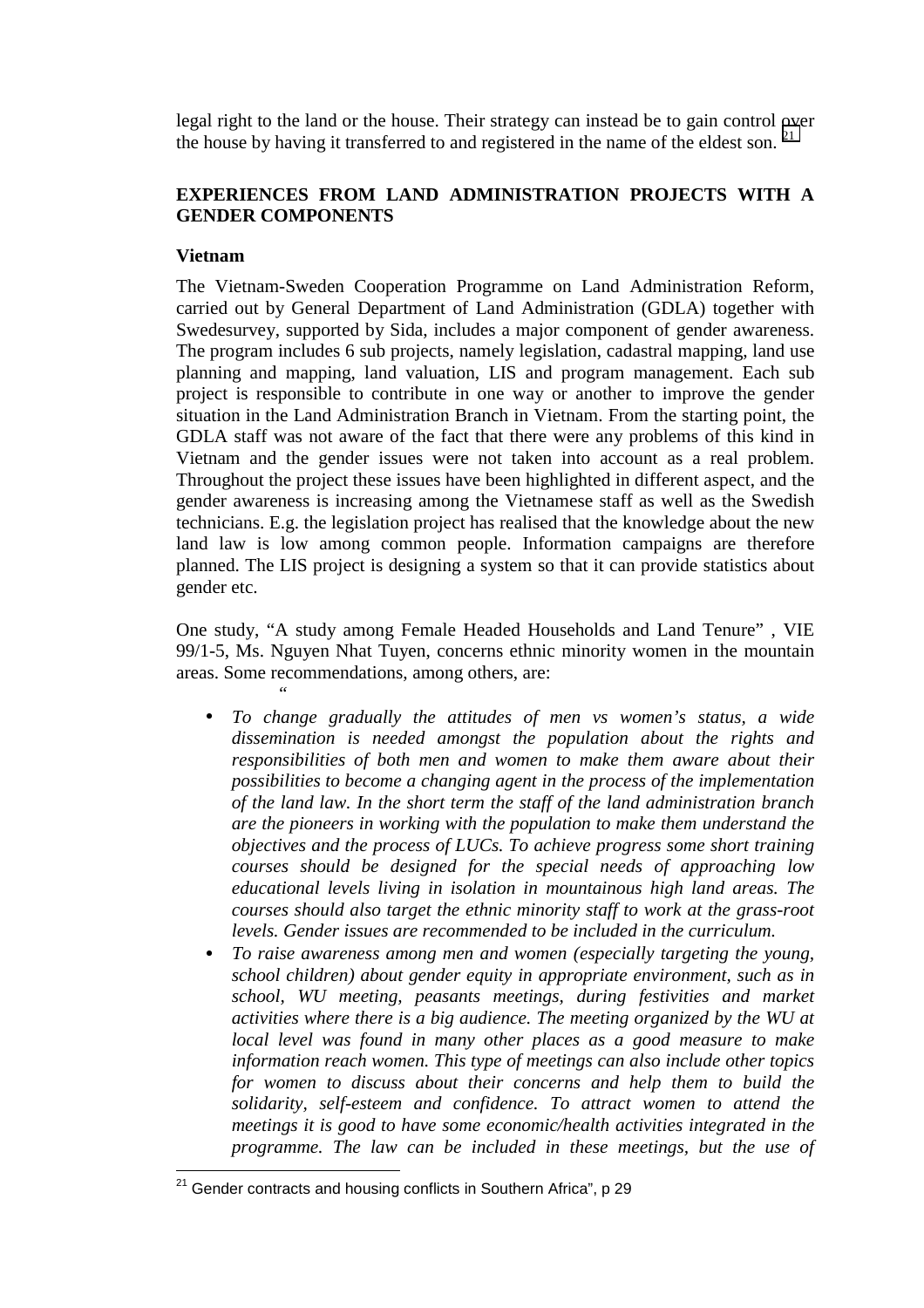legal right to the land or the house. Their strategy can instead be to gain control over the house by having it transferred to and registered in the name of the eldest son.  $21$ 

## **EXPERIENCES FROM LAND ADMINISTRATION PROJECTS WITH A GENDER COMPONENTS**

### **Vietnam**

The Vietnam-Sweden Cooperation Programme on Land Administration Reform, carried out by General Department of Land Administration (GDLA) together with Swedesurvey, supported by Sida, includes a major component of gender awareness. The program includes 6 sub projects, namely legislation, cadastral mapping, land use planning and mapping, land valuation, LIS and program management. Each sub project is responsible to contribute in one way or another to improve the gender situation in the Land Administration Branch in Vietnam. From the starting point, the GDLA staff was not aware of the fact that there were any problems of this kind in Vietnam and the gender issues were not taken into account as a real problem. Throughout the project these issues have been highlighted in different aspect, and the gender awareness is increasing among the Vietnamese staff as well as the Swedish technicians. E.g. the legislation project has realised that the knowledge about the new land law is low among common people. Information campaigns are therefore planned. The LIS project is designing a system so that it can provide statistics about gender etc.

One study, "A study among Female Headed Households and Land Tenure" , VIE 99/1-5, Ms. Nguyen Nhat Tuyen, concerns ethnic minority women in the mountain areas. Some recommendations, among others, are: *"*

- *To change gradually the attitudes of men vs women's status, a wide dissemination is needed amongst the population about the rights and responsibilities of both men and women to make them aware about their possibilities to become a changing agent in the process of the implementation of the land law. In the short term the staff of the land administration branch are the pioneers in working with the population to make them understand the objectives and the process of LUCs. To achieve progress some short training courses should be designed for the special needs of approaching low educational levels living in isolation in mountainous high land areas. The courses should also target the ethnic minority staff to work at the grass-root levels. Gender issues are recommended to be included in the curriculum.*
- *To raise awareness among men and women (especially targeting the young, school children) about gender equity in appropriate environment, such as in school, WU meeting, peasants meetings, during festivities and market activities where there is a big audience. The meeting organized by the WU at local level was found in many other places as a good measure to make information reach women. This type of meetings can also include other topics for women to discuss about their concerns and help them to build the solidarity, self-esteem and confidence. To attract women to attend the meetings it is good to have some economic/health activities integrated in the programme. The law can be included in these meetings, but the use of*

 $21$ 21 Gender contracts and housing conflicts in Southern Africa", p 29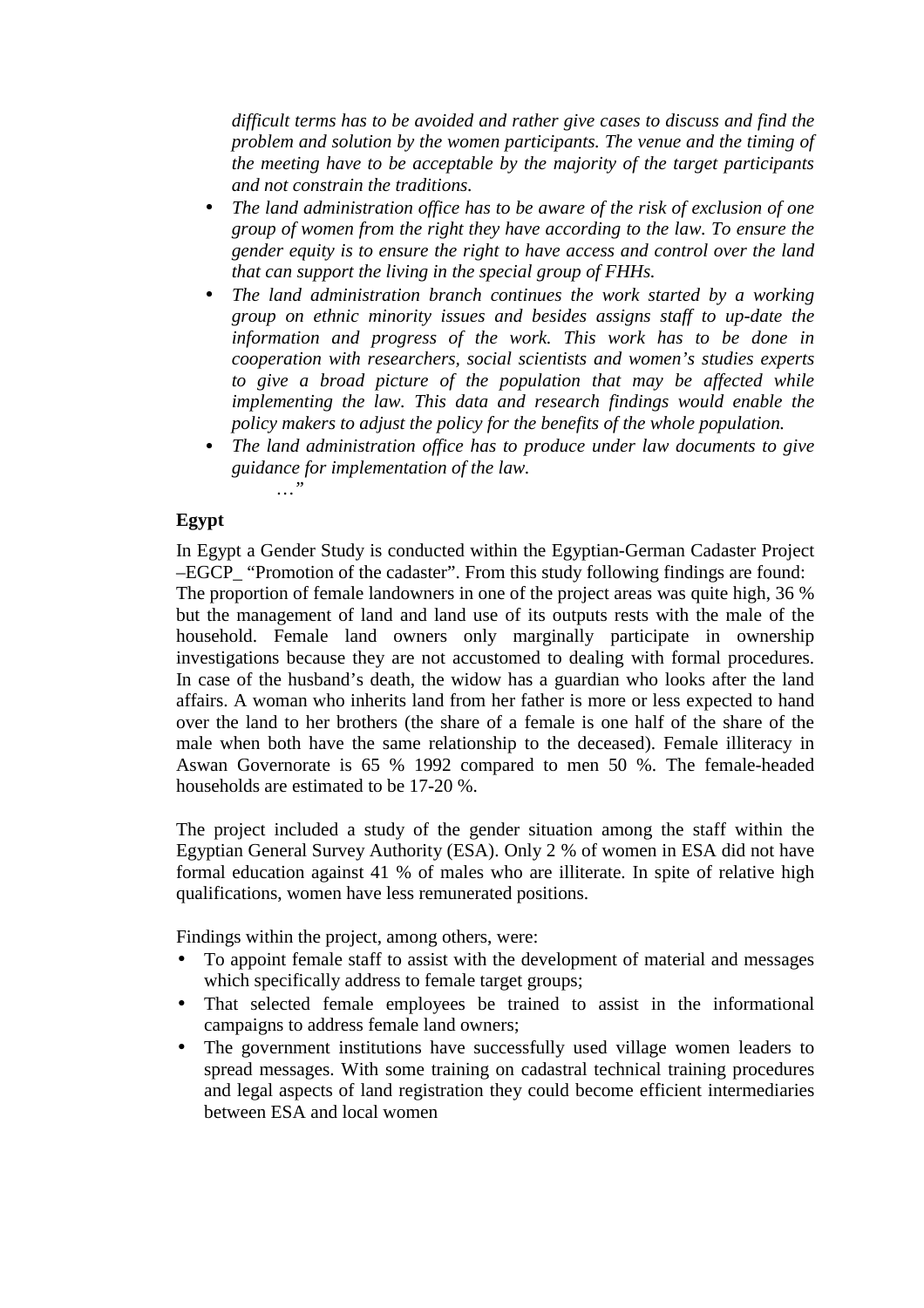*difficult terms has to be avoided and rather give cases to discuss and find the problem and solution by the women participants. The venue and the timing of the meeting have to be acceptable by the majority of the target participants and not constrain the traditions.*

- *The land administration office has to be aware of the risk of exclusion of one group of women from the right they have according to the law. To ensure the gender equity is to ensure the right to have access and control over the land that can support the living in the special group of FHHs.*
- *The land administration branch continues the work started by a working group on ethnic minority issues and besides assigns staff to up-date the information and progress of the work. This work has to be done in cooperation with researchers, social scientists and women's studies experts to give a broad picture of the population that may be affected while implementing the law. This data and research findings would enable the policy makers to adjust the policy for the benefits of the whole population.*
- *The land administration office has to produce under law documents to give guidance for implementation of the law. …"*

### **Egypt**

In Egypt a Gender Study is conducted within the Egyptian-German Cadaster Project –EGCP\_ "Promotion of the cadaster". From this study following findings are found: The proportion of female landowners in one of the project areas was quite high, 36 % but the management of land and land use of its outputs rests with the male of the household. Female land owners only marginally participate in ownership investigations because they are not accustomed to dealing with formal procedures. In case of the husband's death, the widow has a guardian who looks after the land affairs. A woman who inherits land from her father is more or less expected to hand over the land to her brothers (the share of a female is one half of the share of the male when both have the same relationship to the deceased). Female illiteracy in Aswan Governorate is 65 % 1992 compared to men 50 %. The female-headed households are estimated to be 17-20 %.

The project included a study of the gender situation among the staff within the Egyptian General Survey Authority (ESA). Only 2 % of women in ESA did not have formal education against 41 % of males who are illiterate. In spite of relative high qualifications, women have less remunerated positions.

Findings within the project, among others, were:

- To appoint female staff to assist with the development of material and messages which specifically address to female target groups;
- That selected female employees be trained to assist in the informational campaigns to address female land owners;
- The government institutions have successfully used village women leaders to spread messages. With some training on cadastral technical training procedures and legal aspects of land registration they could become efficient intermediaries between ESA and local women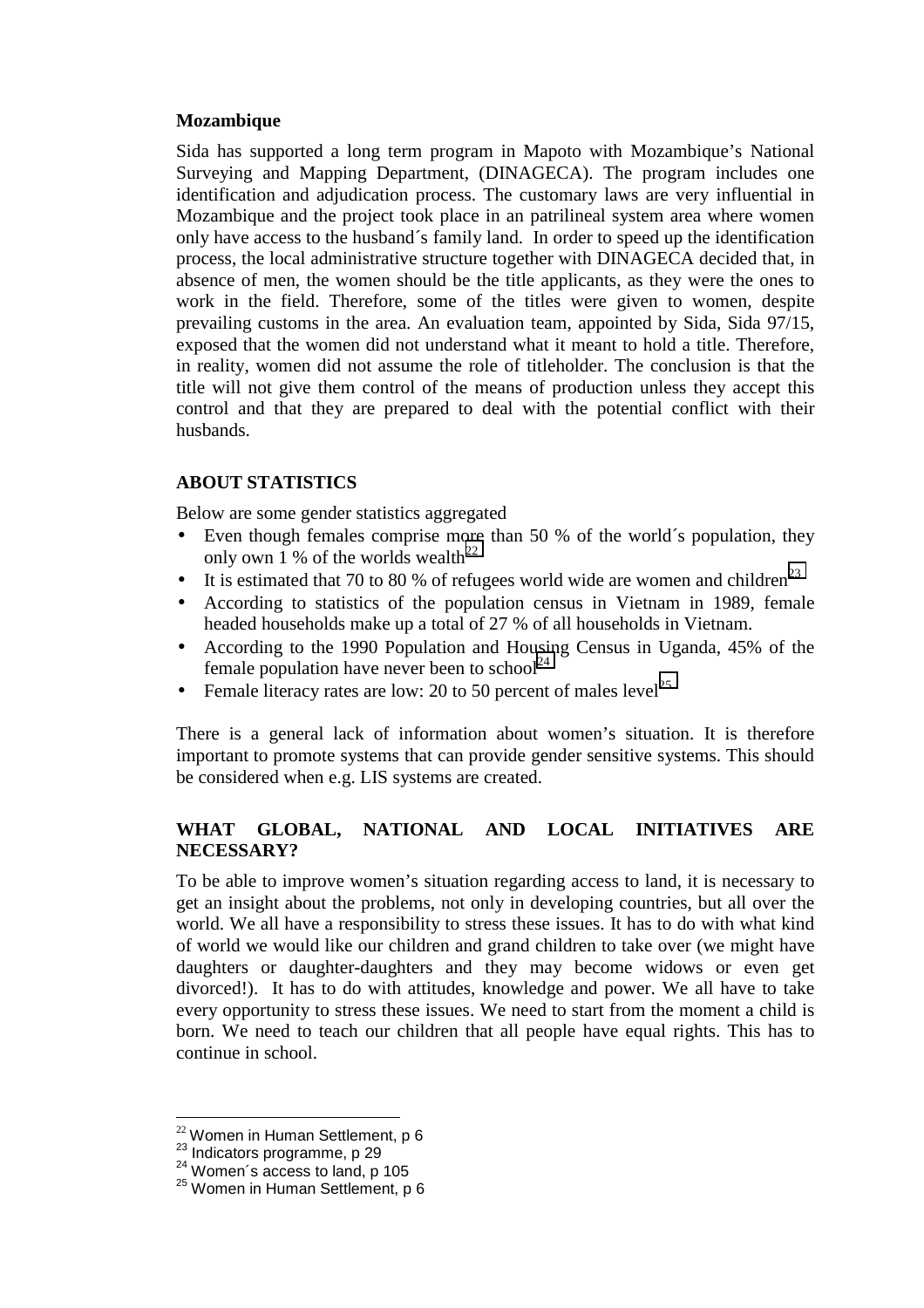#### **Mozambique**

Sida has supported a long term program in Mapoto with Mozambique's National Surveying and Mapping Department, (DINAGECA). The program includes one identification and adjudication process. The customary laws are very influential in Mozambique and the project took place in an patrilineal system area where women only have access to the husband´s family land. In order to speed up the identification process, the local administrative structure together with DINAGECA decided that, in absence of men, the women should be the title applicants, as they were the ones to work in the field. Therefore, some of the titles were given to women, despite prevailing customs in the area. An evaluation team, appointed by Sida, Sida 97/15, exposed that the women did not understand what it meant to hold a title. Therefore, in reality, women did not assume the role of titleholder. The conclusion is that the title will not give them control of the means of production unless they accept this control and that they are prepared to deal with the potential conflict with their husbands.

### **ABOUT STATISTICS**

Below are some gender statistics aggregated

- Even though females comprise more than 50 % of the world's population, they only own 1 % of the worlds wealth<sup>22</sup>
- It is estimated that 70 to 80 % of refugees world wide are women and children<sup>23</sup>
- According to statistics of the population census in Vietnam in 1989, female headed households make up a total of 27 % of all households in Vietnam.
- According to the 1990 Population and Housing Census in Uganda, 45% of the female population have never been to school<sup>24</sup>
- Female literacy rates are low: 20 to 50 percent of males level<sup>25</sup>

There is a general lack of information about women's situation. It is therefore important to promote systems that can provide gender sensitive systems. This should be considered when e.g. LIS systems are created.

## **WHAT GLOBAL, NATIONAL AND LOCAL INITIATIVES ARE NECESSARY?**

To be able to improve women's situation regarding access to land, it is necessary to get an insight about the problems, not only in developing countries, but all over the world. We all have a responsibility to stress these issues. It has to do with what kind of world we would like our children and grand children to take over (we might have daughters or daughter-daughters and they may become widows or even get divorced!). It has to do with attitudes, knowledge and power. We all have to take every opportunity to stress these issues. We need to start from the moment a child is born. We need to teach our children that all people have equal rights. This has to continue in school.

<sup>&</sup>lt;sup>22</sup> Women in Human Settlement, p 6

<sup>&</sup>lt;sup>23</sup> Indicators programme, p 29<br>
<sup>24</sup> Women´s access to land, p 105<br>
<sup>25</sup> Women in Human Settlement, p 6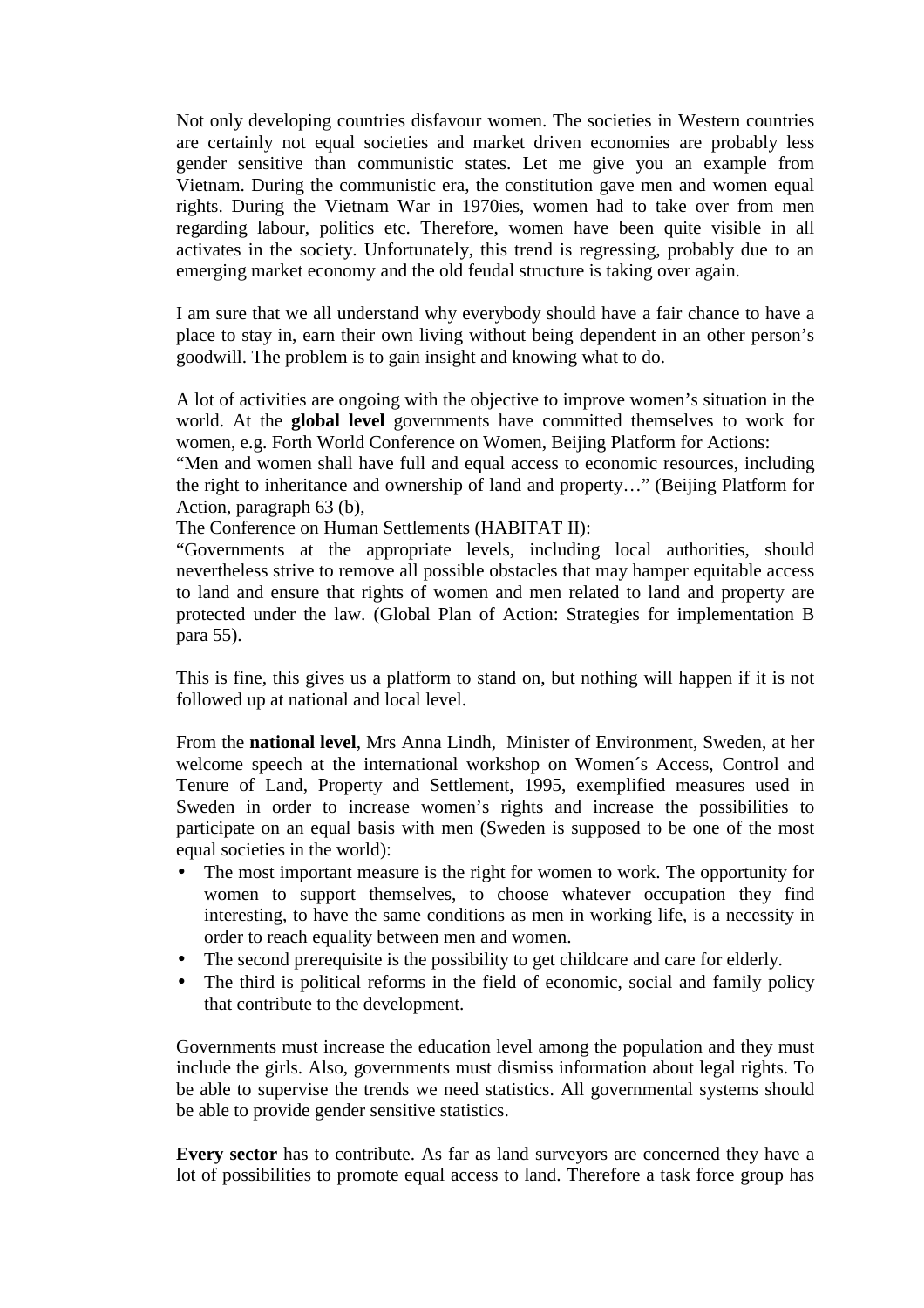Not only developing countries disfavour women. The societies in Western countries are certainly not equal societies and market driven economies are probably less gender sensitive than communistic states. Let me give you an example from Vietnam. During the communistic era, the constitution gave men and women equal rights. During the Vietnam War in 1970ies, women had to take over from men regarding labour, politics etc. Therefore, women have been quite visible in all activates in the society. Unfortunately, this trend is regressing, probably due to an emerging market economy and the old feudal structure is taking over again.

I am sure that we all understand why everybody should have a fair chance to have a place to stay in, earn their own living without being dependent in an other person's goodwill. The problem is to gain insight and knowing what to do.

A lot of activities are ongoing with the objective to improve women's situation in the world. At the **global level** governments have committed themselves to work for women, e.g. Forth World Conference on Women, Beijing Platform for Actions:

"Men and women shall have full and equal access to economic resources, including the right to inheritance and ownership of land and property…" (Beijing Platform for Action, paragraph 63 (b),

The Conference on Human Settlements (HABITAT II):

"Governments at the appropriate levels, including local authorities, should nevertheless strive to remove all possible obstacles that may hamper equitable access to land and ensure that rights of women and men related to land and property are protected under the law. (Global Plan of Action: Strategies for implementation B para 55).

This is fine, this gives us a platform to stand on, but nothing will happen if it is not followed up at national and local level.

From the **national level**, Mrs Anna Lindh, Minister of Environment, Sweden, at her welcome speech at the international workshop on Women´s Access, Control and Tenure of Land, Property and Settlement, 1995, exemplified measures used in Sweden in order to increase women's rights and increase the possibilities to participate on an equal basis with men (Sweden is supposed to be one of the most equal societies in the world):

- The most important measure is the right for women to work. The opportunity for women to support themselves, to choose whatever occupation they find interesting, to have the same conditions as men in working life, is a necessity in order to reach equality between men and women.
- The second prerequisite is the possibility to get childcare and care for elderly.
- The third is political reforms in the field of economic, social and family policy that contribute to the development.

Governments must increase the education level among the population and they must include the girls. Also, governments must dismiss information about legal rights. To be able to supervise the trends we need statistics. All governmental systems should be able to provide gender sensitive statistics.

**Every sector** has to contribute. As far as land surveyors are concerned they have a lot of possibilities to promote equal access to land. Therefore a task force group has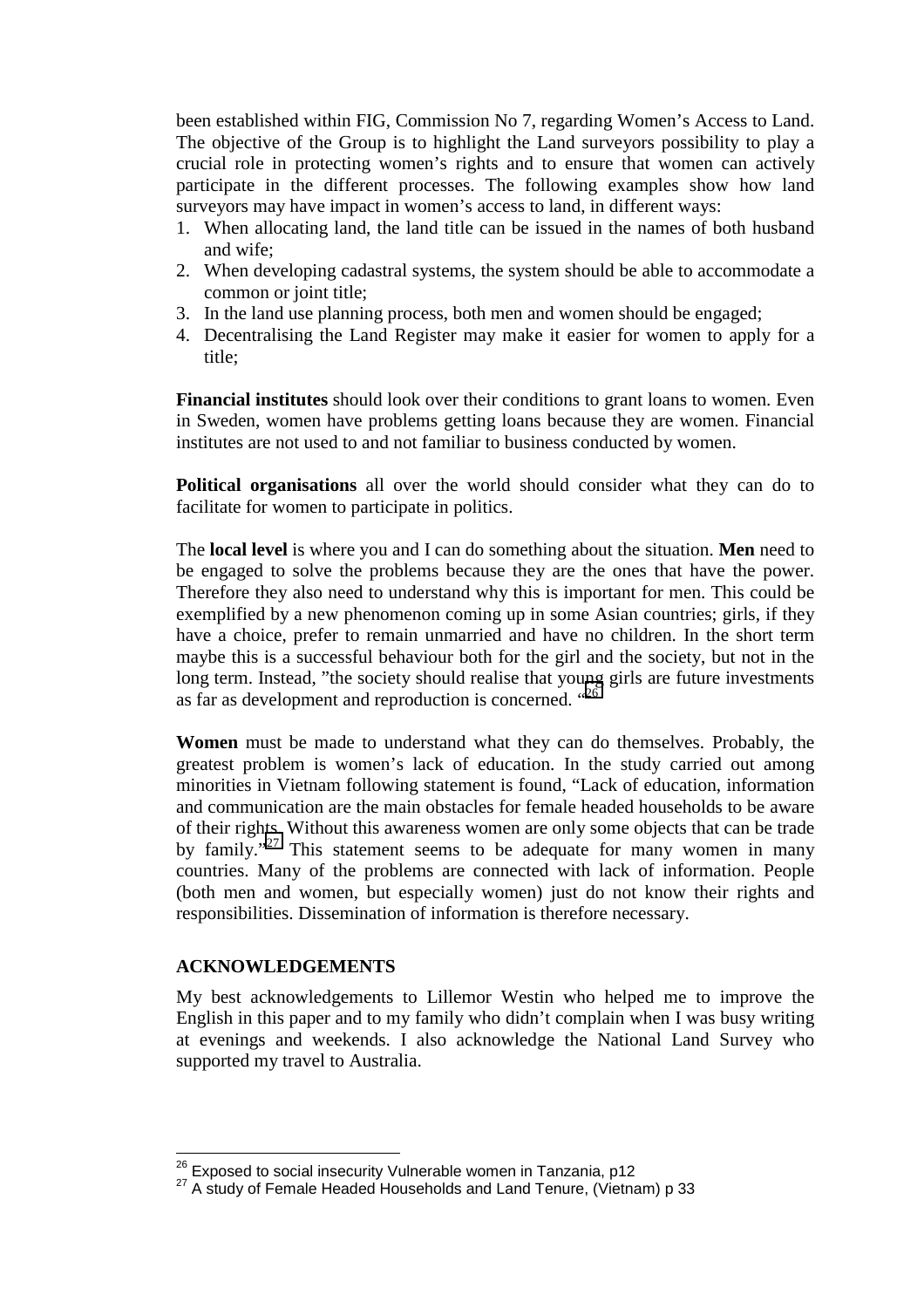been established within FIG, Commission No 7, regarding Women's Access to Land. The objective of the Group is to highlight the Land surveyors possibility to play a crucial role in protecting women's rights and to ensure that women can actively participate in the different processes. The following examples show how land surveyors may have impact in women's access to land, in different ways:

- 1. When allocating land, the land title can be issued in the names of both husband and wife;
- 2. When developing cadastral systems, the system should be able to accommodate a common or joint title;
- 3. In the land use planning process, both men and women should be engaged;
- 4. Decentralising the Land Register may make it easier for women to apply for a title;

**Financial institutes** should look over their conditions to grant loans to women. Even in Sweden, women have problems getting loans because they are women. Financial institutes are not used to and not familiar to business conducted by women.

**Political organisations** all over the world should consider what they can do to facilitate for women to participate in politics.

The **local level** is where you and I can do something about the situation. **Men** need to be engaged to solve the problems because they are the ones that have the power. Therefore they also need to understand why this is important for men. This could be exemplified by a new phenomenon coming up in some Asian countries; girls, if they have a choice, prefer to remain unmarried and have no children. In the short term maybe this is a successful behaviour both for the girl and the society, but not in the long term. Instead, "the society should realise that young girls are future investments as far as development and reproduction is concerned. "<sup>26</sup>

**Women** must be made to understand what they can do themselves. Probably, the greatest problem is women's lack of education. In the study carried out among minorities in Vietnam following statement is found, "Lack of education, information and communication are the main obstacles for female headed households to be aware of their rights. Without this awareness women are only some objects that can be trade by family."<sup>27</sup> This statement seems to be adequate for many women in many countries. Many of the problems are connected with lack of information. People (both men and women, but especially women) just do not know their rights and responsibilities. Dissemination of information is therefore necessary.

### **ACKNOWLEDGEMENTS**

 $\overline{a}$ 

My best acknowledgements to Lillemor Westin who helped me to improve the English in this paper and to my family who didn't complain when I was busy writing at evenings and weekends. I also acknowledge the National Land Survey who supported my travel to Australia.

<sup>&</sup>lt;sup>26</sup> Exposed to social insecurity Vulnerable women in Tanzania, p12<br><sup>27</sup> A study of Female Headed Households and Land Tenure, (Vietnam) p 33